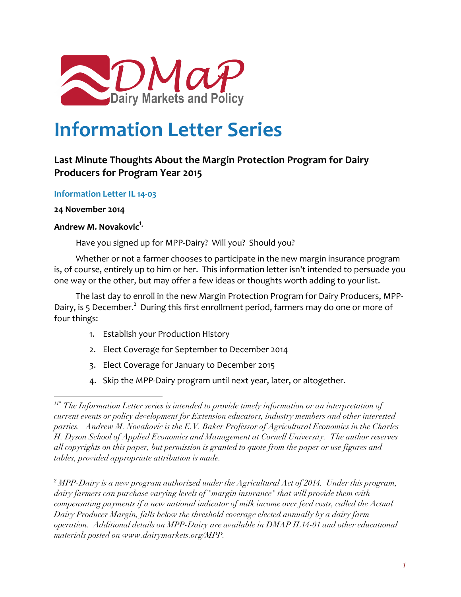

# **Information Letter Series**

## Last Minute Thoughts About the Margin Protection Program for Dairy **Producers for Program Year 2015**

## **Information Letter IL 14-03**

## **24 November 2014**

 $\overline{a}$ 

## **Andrew M. Novakovic<sup>1</sup>**

Have you signed up for MPP-Dairy? Will you? Should you?

Whether or not a farmer chooses to participate in the new margin insurance program is, of course, entirely up to him or her. This information letter isn't intended to persuade you one way or the other, but may offer a few ideas or thoughts worth adding to your list.

The last day to enroll in the new Margin Protection Program for Dairy Producers, MPP-Dairy, is 5 December.<sup>2</sup> During this first enrollment period, farmers may do one or more of four things:

- 1. Establish your Production History
- 2. Elect Coverage for September to December 2014
- 3. Elect Coverage for January to December 2015
- 4. Skip the MPP-Dairy program until next year, later, or altogether.

*<sup>2</sup> MPP-Dairy is a new program authorized under the Agricultural Act of 2014. Under this program, dairy farmers can purchase varying levels of "margin insurance" that will provide them with compensating payments if a new national indicator of milk income over feed costs, called the Actual Dairy Producer Margin, falls below the threshold coverage elected annually by a dairy farm operation. Additional details on MPP-Dairy are available in DMAP IL14-01 and other educational materials posted on www.dairymarkets.org/MPP.*

*<sup>11\*</sup> The Information Letter series is intended to provide timely information or an interpretation of current events or policy development for Extension educators, industry members and other interested parties. Andrew M. Novakovic is the E.V. Baker Professor of Agricultural Economics in the Charles H. Dyson School of Applied Economics and Management at Cornell University. The author reserves all copyrights on this paper, but permission is granted to quote from the paper or use figures and tables, provided appropriate attribution is made.*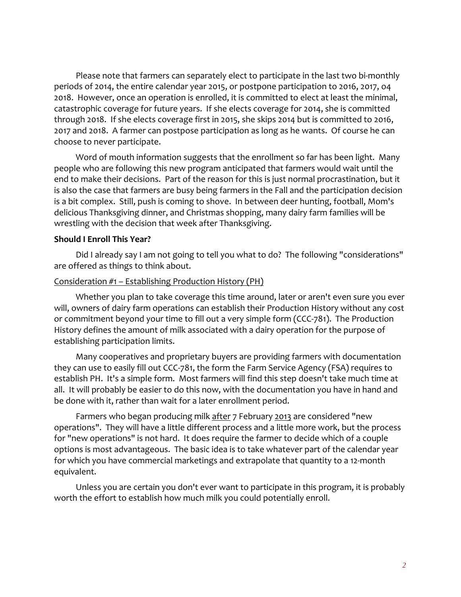Please note that farmers can separately elect to participate in the last two bi-monthly periods of 2014, the entire calendar year 2015, or postpone participation to 2016, 2017, 04 2018. However, once an operation is enrolled, it is committed to elect at least the minimal, catastrophic coverage for future years. If she elects coverage for 2014, she is committed through 2018. If she elects coverage first in 2015, she skips 2014 but is committed to 2016, 2017 and 2018. A farmer can postpose participation as long as he wants. Of course he can choose to never participate.

Word of mouth information suggests that the enrollment so far has been light. Many people who are following this new program anticipated that farmers would wait until the end to make their decisions. Part of the reason for this is just normal procrastination, but it is also the case that farmers are busy being farmers in the Fall and the participation decision is a bit complex. Still, push is coming to shove. In between deer hunting, football, Mom's delicious Thanksgiving dinner, and Christmas shopping, many dairy farm families will be wrestling with the decision that week after Thanksgiving.

#### **Should I Enroll This Year?**

Did I already say I am not going to tell you what to do? The following "considerations" are offered as things to think about.

#### Consideration #1 - Establishing Production History (PH)

Whether you plan to take coverage this time around, later or aren't even sure you ever will, owners of dairy farm operations can establish their Production History without any cost or commitment beyond your time to fill out a very simple form (CCC-781). The Production History defines the amount of milk associated with a dairy operation for the purpose of establishing participation limits.

Many cooperatives and proprietary buyers are providing farmers with documentation they can use to easily fill out CCC-781, the form the Farm Service Agency (FSA) requires to establish PH. It's a simple form. Most farmers will find this step doesn't take much time at all. It will probably be easier to do this now, with the documentation you have in hand and be done with it, rather than wait for a later enrollment period.

Farmers who began producing milk after 7 February 2013 are considered "new operations". They will have a little different process and a little more work, but the process for "new operations" is not hard. It does require the farmer to decide which of a couple options is most advantageous. The basic idea is to take whatever part of the calendar year for which you have commercial marketings and extrapolate that quantity to a 12-month equivalent.

Unless you are certain you don't ever want to participate in this program, it is probably worth the effort to establish how much milk you could potentially enroll.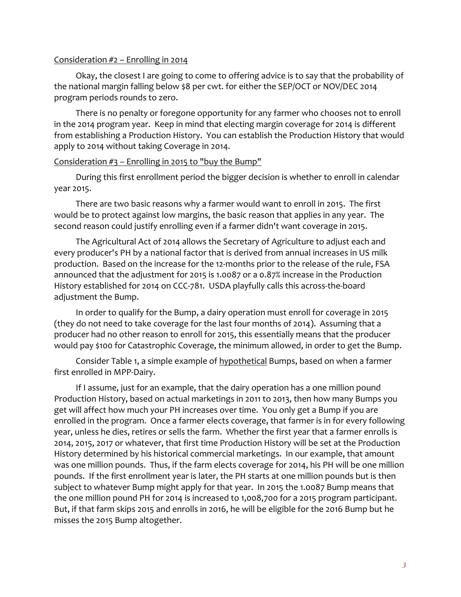#### Consideration  $#2$  – Enrolling in 2014

Okay, the closest I are going to come to offering advice is to say that the probability of the national margin falling below \$8 per cwt. for either the SEP/OCT or NOV/DEC 2014 program periods rounds to zero.

There is no penalty or foregone opportunity for any farmer who chooses not to enroll in the 2014 program year. Keep in mind that electing margin coverage for 2014 is different from establishing a Production History. You can establish the Production History that would apply to 2014 without taking Coverage in 2014.

#### Consideration  $#3$  – Enrolling in 2015 to "buy the Bump"

During this first enrollment period the bigger decision is whether to enroll in calendar year 2015.

There are two basic reasons why a farmer would want to enroll in 2015. The first would be to protect against low margins, the basic reason that applies in any year. The second reason could justify enrolling even if a farmer didn't want coverage in 2015.

The Agricultural Act of 2014 allows the Secretary of Agriculture to adjust each and every producer's PH by a national factor that is derived from annual increases in US milk production. Based on the increase for the 12-months prior to the release of the rule, FSA announced that the adjustment for 2015 is 1.0087 or a 0.87% increase in the Production History established for 2014 on CCC-781. USDA playfully calls this across-the-board adjustment the Bump.

In order to qualify for the Bump, a dairy operation must enroll for coverage in 2015 (they do not need to take coverage for the last four months of 2014). Assuming that a producer had no other reason to enroll for 2015, this essentially means that the producer would pay \$100 for Catastrophic Coverage, the minimum allowed, in order to get the Bump.

Consider Table 1, a simple example of hypothetical Bumps, based on when a farmer first enrolled in MPP-Dairy.

If I assume, just for an example, that the dairy operation has a one million pound Production History, based on actual marketings in 2011 to 2013, then how many Bumps you get will affect how much your PH increases over time. You only get a Bump if you are enrolled in the program. Once a farmer elects coverage, that farmer is in for every following year, unless he dies, retires or sells the farm. Whether the first year that a farmer enrolls is 2014, 2015, 2017 or whatever, that first time Production History will be set at the Production History determined by his historical commercial marketings. In our example, that amount was one million pounds. Thus, if the farm elects coverage for 2014, his PH will be one million pounds. If the first enrollment year is later, the PH starts at one million pounds but is then subject to whatever Bump might apply for that year. In 2015 the 1.0087 Bump means that the one million pound PH for 2014 is increased to 1,008,700 for a 2015 program participant. But, if that farm skips 2015 and enrolls in 2016, he will be eligible for the 2016 Bump but he misses the 2015 Bump altogether.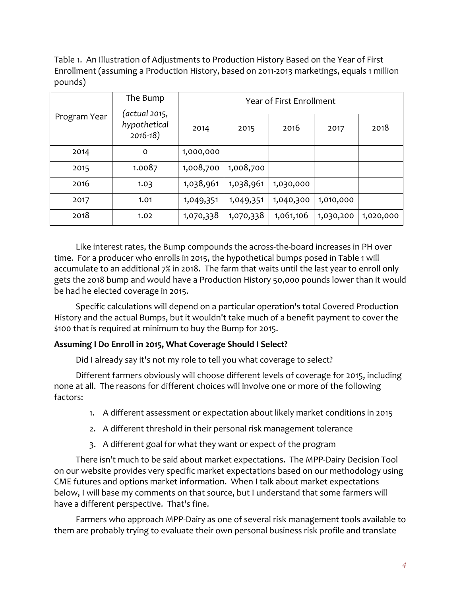Table 1. An Illustration of Adjustments to Production History Based on the Year of First Enrollment (assuming a Production History, based on 2011-2013 marketings, equals 1 million pounds)

| Program Year | The Bump                                     | Year of First Enrollment |           |           |           |           |  |  |
|--------------|----------------------------------------------|--------------------------|-----------|-----------|-----------|-----------|--|--|
|              | (actual 2015,<br>hypothetical<br>$2016 - 18$ | 2014                     | 2015      | 2016      | 2017      | 2018      |  |  |
| 2014         | $\circ$                                      | 1,000,000                |           |           |           |           |  |  |
| 2015         | 1.0087                                       | 1,008,700                | 1,008,700 |           |           |           |  |  |
| 2016         | 1.03                                         | 1,038,961                | 1,038,961 | 1,030,000 |           |           |  |  |
| 2017         | 1.01                                         | 1,049,351                | 1,049,351 | 1,040,300 | 1,010,000 |           |  |  |
| 2018         | 1.02                                         | 1,070,338                | 1,070,338 | 1,061,106 | 1,030,200 | 1,020,000 |  |  |

Like interest rates, the Bump compounds the across-the-board increases in PH over time. For a producer who enrolls in 2015, the hypothetical bumps posed in Table 1 will accumulate to an additional 7% in 2018. The farm that waits until the last year to enroll only gets the 2018 bump and would have a Production History 50,000 pounds lower than it would be had he elected coverage in 2015.

Specific calculations will depend on a particular operation's total Covered Production History and the actual Bumps, but it wouldn't take much of a benefit payment to cover the \$100 that is required at minimum to buy the Bump for 2015.

## Assuming I Do Enroll in 2015, What Coverage Should I Select?

Did I already say it's not my role to tell you what coverage to select?

Different farmers obviously will choose different levels of coverage for 2015, including none at all. The reasons for different choices will involve one or more of the following factors:

- 1. A different assessment or expectation about likely market conditions in 2015
- 2. A different threshold in their personal risk management tolerance
- 3. A different goal for what they want or expect of the program

There isn't much to be said about market expectations. The MPP-Dairy Decision Tool on our website provides very specific market expectations based on our methodology using CME futures and options market information. When I talk about market expectations below, I will base my comments on that source, but I understand that some farmers will have a different perspective. That's fine.

Farmers who approach MPP-Dairy as one of several risk management tools available to them are probably trying to evaluate their own personal business risk profile and translate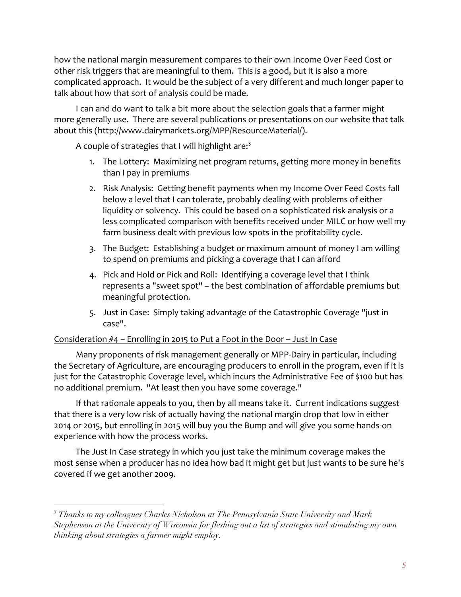how the national margin measurement compares to their own Income Over Feed Cost or other risk triggers that are meaningful to them. This is a good, but it is also a more complicated approach. It would be the subject of a very different and much longer paper to talk about how that sort of analysis could be made.

I can and do want to talk a bit more about the selection goals that a farmer might more generally use. There are several publications or presentations on our website that talk about this (http://www.dairymarkets.org/MPP/ResourceMaterial/).

A couple of strategies that I will highlight are:<sup>3</sup>

- 1. The Lottery: Maximizing net program returns, getting more money in benefits than I pay in premiums
- 2. Risk Analysis: Getting benefit payments when my Income Over Feed Costs fall below a level that I can tolerate, probably dealing with problems of either liquidity or solvency. This could be based on a sophisticated risk analysis or a less complicated comparison with benefits received under MILC or how well my farm business dealt with previous low spots in the profitability cycle.
- 3. The Budget: Establishing a budget or maximum amount of money I am willing to spend on premiums and picking a coverage that I can afford
- 4. Pick and Hold or Pick and Roll: Identifying a coverage level that I think represents a "sweet spot" – the best combination of affordable premiums but meaningful protection.
- 5. Just in Case: Simply taking advantage of the Catastrophic Coverage "just in case".

## Consideration  $#4$  – Enrolling in 2015 to Put a Foot in the Door – Just In Case

 $\overline{a}$ 

Many proponents of risk management generally or MPP-Dairy in particular, including the Secretary of Agriculture, are encouraging producers to enroll in the program, even if it is just for the Catastrophic Coverage level, which incurs the Administrative Fee of \$100 but has no additional premium. "At least then you have some coverage."

If that rationale appeals to you, then by all means take it. Current indications suggest that there is a very low risk of actually having the national margin drop that low in either 2014 or 2015, but enrolling in 2015 will buy you the Bump and will give you some hands-on experience with how the process works.

The Just In Case strategy in which you just take the minimum coverage makes the most sense when a producer has no idea how bad it might get but just wants to be sure he's covered if we get another 2009.

*<sup>3</sup> Thanks to my colleagues Charles Nicholson at The Pennsylvania State University and Mark Stephenson at the University of Wisconsin for fleshing out a list of strategies and stimulating my own thinking about strategies a farmer might employ.*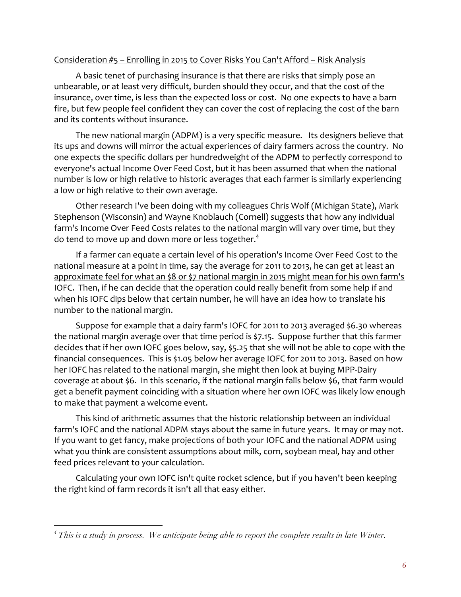#### Consideration #5 - Enrolling in 2015 to Cover Risks You Can't Afford - Risk Analysis

A basic tenet of purchasing insurance is that there are risks that simply pose an unbearable, or at least very difficult, burden should they occur, and that the cost of the insurance, over time, is less than the expected loss or cost. No one expects to have a barn fire, but few people feel confident they can cover the cost of replacing the cost of the barn and its contents without insurance.

The new national margin (ADPM) is a very specific measure. Its designers believe that its ups and downs will mirror the actual experiences of dairy farmers across the country. No one expects the specific dollars per hundredweight of the ADPM to perfectly correspond to everyone's actual Income Over Feed Cost, but it has been assumed that when the national number is low or high relative to historic averages that each farmer is similarly experiencing a low or high relative to their own average.

Other research I've been doing with my colleagues Chris Wolf (Michigan State), Mark Stephenson (Wisconsin) and Wayne Knoblauch (Cornell) suggests that how any individual farm's Income Over Feed Costs relates to the national margin will vary over time, but they do tend to move up and down more or less together.<sup>4</sup>

If a farmer can equate a certain level of his operation's Income Over Feed Cost to the national measure at a point in time, say the average for 2011 to 2013, he can get at least an approximate feel for what an \$8 or \$7 national margin in 2015 might mean for his own farm's IOFC. Then, if he can decide that the operation could really benefit from some help if and when his IOFC dips below that certain number, he will have an idea how to translate his number to the national margin.

Suppose for example that a dairy farm's IOFC for 2011 to 2013 averaged \$6.30 whereas the national margin average over that time period is \$7.15. Suppose further that this farmer decides that if her own IOFC goes below, say, \$5.25 that she will not be able to cope with the financial consequences. This is \$1.05 below her average IOFC for 2011 to 2013. Based on how her IOFC has related to the national margin, she might then look at buying MPP-Dairy coverage at about \$6. In this scenario, if the national margin falls below \$6, that farm would get a benefit payment coinciding with a situation where her own IOFC was likely low enough to make that payment a welcome event.

This kind of arithmetic assumes that the historic relationship between an individual farm's IOFC and the national ADPM stays about the same in future years. It may or may not. If you want to get fancy, make projections of both your IOFC and the national ADPM using what you think are consistent assumptions about milk, corn, soybean meal, hay and other feed prices relevant to your calculation.

Calculating your own IOFC isn't quite rocket science, but if you haven't been keeping the right kind of farm records it isn't all that easy either.

 $\overline{a}$ 

*<sup>4</sup> This is a study in process. We anticipate being able to report the complete results in late Winter.*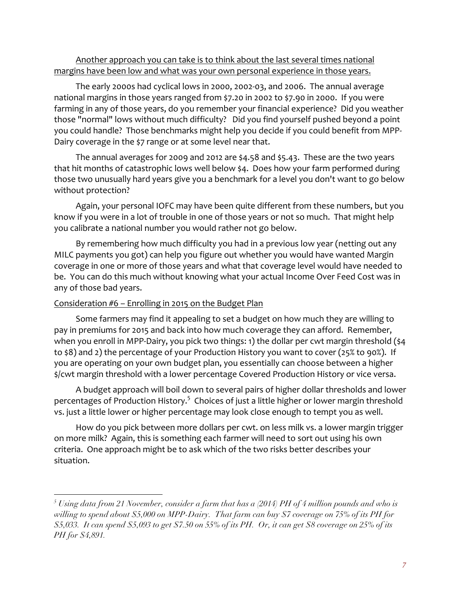## Another approach you can take is to think about the last several times national margins have been low and what was your own personal experience in those years.

The early 2000s had cyclical lows in 2000, 2002-03, and 2006. The annual average national margins in those years ranged from \$7.20 in 2002 to \$7.90 in 2000. If you were farming in any of those years, do you remember your financial experience? Did you weather those "normal" lows without much difficulty? Did you find yourself pushed beyond a point you could handle? Those benchmarks might help you decide if you could benefit from MPP-Dairy coverage in the \$7 range or at some level near that.

The annual averages for 2009 and 2012 are  $\frac{24.58}{10.63}$  and  $\frac{25.43}{10.63}$ . These are the two years that hit months of catastrophic lows well below \$4. Does how your farm performed during those two unusually hard years give you a benchmark for a level you don't want to go below without protection?

Again, your personal IOFC may have been quite different from these numbers, but you know if you were in a lot of trouble in one of those years or not so much. That might help you calibrate a national number you would rather not go below.

By remembering how much difficulty you had in a previous low year (netting out any MILC payments you got) can help you figure out whether you would have wanted Margin coverage in one or more of those years and what that coverage level would have needed to be. You can do this much without knowing what your actual Income Over Feed Cost was in any of those bad years.

## Consideration  $#6$  – Enrolling in 2015 on the Budget Plan

 $\overline{a}$ 

Some farmers may find it appealing to set a budget on how much they are willing to pay in premiums for 2015 and back into how much coverage they can afford. Remember, when you enroll in MPP-Dairy, you pick two things: 1) the dollar per cwt margin threshold  $(34)$ to \$8) and 2) the percentage of your Production History you want to cover (25% to 90%). If you are operating on your own budget plan, you essentially can choose between a higher \$/cwt margin threshold with a lower percentage Covered Production History or vice versa.

A budget approach will boil down to several pairs of higher dollar thresholds and lower percentages of Production History.<sup>5</sup> Choices of just a little higher or lower margin threshold vs. just a little lower or higher percentage may look close enough to tempt you as well.

How do you pick between more dollars per cwt. on less milk vs. a lower margin trigger on more milk? Again, this is something each farmer will need to sort out using his own criteria. One approach might be to ask which of the two risks better describes your situation.

*<sup>5</sup> Using data from 21 November, consider a farm that has a (2014) PH of 4 million pounds and who is willing to spend about \$5,000 on MPP-Dairy. That farm can buy \$7 coverage on 75% of its PH for \$5,033. It can spend \$5,093 to get \$7.50 on 55% of its PH. Or, it can get \$8 coverage on 25% of its PH for \$4,891.*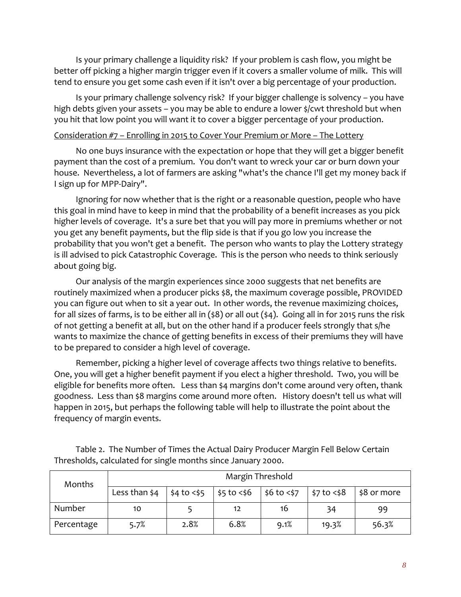Is your primary challenge a liquidity risk? If your problem is cash flow, you might be better off picking a higher margin trigger even if it covers a smaller volume of milk. This will tend to ensure you get some cash even if it isn't over a big percentage of your production.

Is your primary challenge solvency risk? If your bigger challenge is solvency – you have high debts given your assets – you may be able to endure a lower  $\frac{1}{2}$  cwt threshold but when you hit that low point you will want it to cover a bigger percentage of your production.

#### Consideration  $#7$  – Enrolling in 2015 to Cover Your Premium or More – The Lottery

No one buys insurance with the expectation or hope that they will get a bigger benefit payment than the cost of a premium. You don't want to wreck your car or burn down your house. Nevertheless, a lot of farmers are asking "what's the chance I'll get my money back if I sign up for MPP-Dairy".

Ignoring for now whether that is the right or a reasonable question, people who have this goal in mind have to keep in mind that the probability of a benefit increases as you pick higher levels of coverage. It's a sure bet that you will pay more in premiums whether or not you get any benefit payments, but the flip side is that if you go low you increase the probability that you won't get a benefit. The person who wants to play the Lottery strategy is ill advised to pick Catastrophic Coverage. This is the person who needs to think seriously about going big.

Our analysis of the margin experiences since 2000 suggests that net benefits are routinely maximized when a producer picks \$8, the maximum coverage possible, PROVIDED you can figure out when to sit a year out. In other words, the revenue maximizing choices, for all sizes of farms, is to be either all in (\$8) or all out (\$4). Going all in for 2015 runs the risk of not getting a benefit at all, but on the other hand if a producer feels strongly that s/he wants to maximize the chance of getting benefits in excess of their premiums they will have to be prepared to consider a high level of coverage.

Remember, picking a higher level of coverage affects two things relative to benefits. One, you will get a higher benefit payment if you elect a higher threshold. Two, you will be eligible for benefits more often. Less than \$4 margins don't come around very often, thank goodness. Less than \$8 margins come around more often. History doesn't tell us what will happen in 2015, but perhaps the following table will help to illustrate the point about the frequency of margin events.

| Months     | Margin Threshold |                 |               |              |                           |             |  |  |  |
|------------|------------------|-----------------|---------------|--------------|---------------------------|-------------|--|--|--|
|            | Less than \$4    | $$4$ to $<$ \$5 | $$5$ to $<$6$ | \$6 to < \$7 | $\frac{1}{2}$ \$7 to <\$8 | \$8 or more |  |  |  |
| Number     | 10               |                 | 12            | 16           | 34                        | 99          |  |  |  |
| Percentage | 5.7%             | 2.8%            | 6.8%          | 9.1%         | 19.3%                     | 56.3%       |  |  |  |

Table 2. The Number of Times the Actual Dairy Producer Margin Fell Below Certain Thresholds, calculated for single months since January 2000.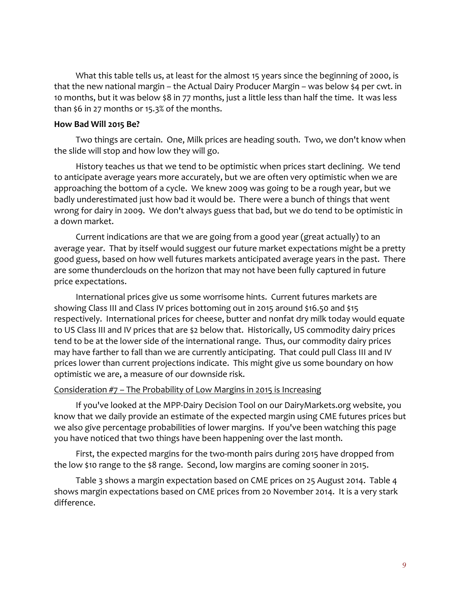What this table tells us, at least for the almost 15 years since the beginning of 2000, is that the new national margin – the Actual Dairy Producer Margin – was below \$4 per cwt. in 10 months, but it was below \$8 in 77 months, just a little less than half the time. It was less than \$6 in 27 months or 15.3% of the months.

#### **How Bad Will 2015 Be?**

Two things are certain. One, Milk prices are heading south. Two, we don't know when the slide will stop and how low they will go.

History teaches us that we tend to be optimistic when prices start declining. We tend to anticipate average years more accurately, but we are often very optimistic when we are approaching the bottom of a cycle. We knew 2009 was going to be a rough year, but we badly underestimated just how bad it would be. There were a bunch of things that went wrong for dairy in 2009. We don't always guess that bad, but we do tend to be optimistic in a down market. 

Current indications are that we are going from a good year (great actually) to an average year. That by itself would suggest our future market expectations might be a pretty good guess, based on how well futures markets anticipated average years in the past. There are some thunderclouds on the horizon that may not have been fully captured in future price expectations.

International prices give us some worrisome hints. Current futures markets are showing Class III and Class IV prices bottoming out in 2015 around \$16.50 and \$15 respectively. International prices for cheese, butter and nonfat dry milk today would equate to US Class III and IV prices that are \$2 below that. Historically, US commodity dairy prices tend to be at the lower side of the international range. Thus, our commodity dairy prices may have farther to fall than we are currently anticipating. That could pull Class III and IV prices lower than current projections indicate. This might give us some boundary on how optimistic we are, a measure of our downside risk.

#### Consideration  $#7$  – The Probability of Low Margins in 2015 is Increasing

If you've looked at the MPP-Dairy Decision Tool on our DairyMarkets.org website, you know that we daily provide an estimate of the expected margin using CME futures prices but we also give percentage probabilities of lower margins. If you've been watching this page you have noticed that two things have been happening over the last month.

First, the expected margins for the two-month pairs during 2015 have dropped from the low \$10 range to the \$8 range. Second, low margins are coming sooner in 2015.

Table 3 shows a margin expectation based on CME prices on 25 August 2014. Table 4 shows margin expectations based on CME prices from 20 November 2014. It is a very stark difference.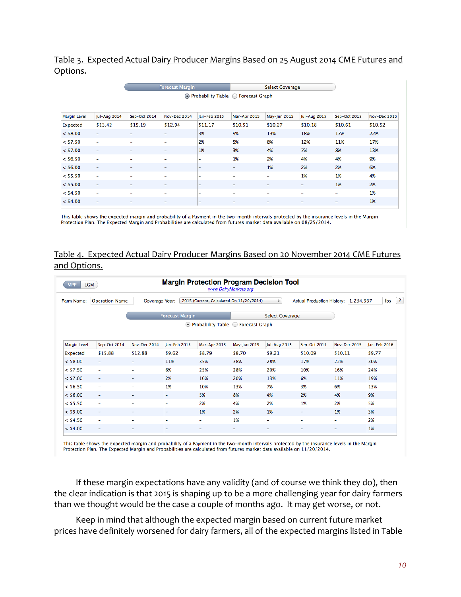## Table 3. Expected Actual Dairy Producer Margins Based on 25 August 2014 CME Futures and Options.

|                     |                     | <b>Forecast Margin</b>               |                          |                          | <b>Select Coverage</b>   |              |                          |              |              |
|---------------------|---------------------|--------------------------------------|--------------------------|--------------------------|--------------------------|--------------|--------------------------|--------------|--------------|
|                     |                     | ⊙ Probability Table ○ Forecast Graph |                          |                          |                          |              |                          |              |              |
|                     |                     |                                      |                          |                          |                          |              |                          |              |              |
| <b>Margin Level</b> | <b>Jul-Aug 2014</b> | Sep-Oct 2014                         | Nov-Dec 2014             | Jan-Feb 2015             | Mar-Apr 2015             | May-Jun 2015 | <b>Jul-Aug 2015</b>      | Sep-Oct 2015 | Nov-Dec 2015 |
| Expected            | \$13.42             | \$15.19                              | \$12.94                  | \$11.17                  | \$10.51                  | \$10.27      | \$10.18                  | \$10.61      | \$10.52      |
| $<$ \$8.00          | -                   | $\overline{\phantom{0}}$             | ۰                        | 3%                       | 9%                       | 13%          | 18%                      | 17%          | 22%          |
| $<$ \$7.50          | Ξ.                  | $\overline{\phantom{0}}$             | -                        | 2%                       | 5%                       | 8%           | 12%                      | 11%          | 17%          |
| $<$ \$7.00          | -                   | ۰                                    | $\overline{\phantom{0}}$ | 1%                       | 3%                       | 4%           | 7%                       | 8%           | 13%          |
| $<$ \$6.50          | Ξ.                  | $\overline{\phantom{0}}$             | -                        | $\overline{\phantom{0}}$ | 1%                       | 2%           | 4%                       | 4%           | 9%           |
| $<$ \$6.00          | -                   | -                                    | ۰                        | ٠                        | ٠                        | 1%           | 2%                       | 2%           | 6%           |
| $<$ \$5.50          | -                   | -                                    | -                        | -                        | $\overline{\phantom{0}}$ | -            | 1%                       | 1%           | 4%           |
| $<$ \$5.00          | -                   | $\overline{\phantom{0}}$             | ۰                        | ٠                        | $\overline{\phantom{a}}$ | ٠            | $\overline{\phantom{a}}$ | 1%           | 2%           |
| $<$ \$4.50          | -                   | -                                    | -                        | ۰                        | $\overline{\phantom{a}}$ | -            | -                        | -            | 1%           |
| $<$ \$4.00          | -                   | -                                    | ۰                        | -                        | $\overline{\phantom{a}}$ | ۰            | $\overline{\phantom{m}}$ | ۰            | 1%           |
|                     |                     |                                      |                          |                          |                          |              |                          |              |              |

This table shows the expected margin and probability of a Payment in the two-month intervals protected by the insurance levels in the Margin Protection Plan. The Expected Margin and Probabilities are calculated from futures market data available on 08/25/2014.

## Table 4. Expected Actual Dairy Producer Margins Based on 20 November 2014 CME Futures and Options.

| <b>Margin Protection Program Decision Tool</b><br><b>LCM</b><br><b>MPP</b><br>www.DairyMarkets.org                                                                                |                                      |                          |                |                          |              |                          |              |              |              |  |
|-----------------------------------------------------------------------------------------------------------------------------------------------------------------------------------|--------------------------------------|--------------------------|----------------|--------------------------|--------------|--------------------------|--------------|--------------|--------------|--|
| $\vert$ ?<br>1,234,567<br><b>Operation Name</b><br>$\div$<br>Ibs<br>Farm Name:<br>2015 (Current, Calculated On 11/20/2014)<br><b>Actual Production History:</b><br>Coverage Year: |                                      |                          |                |                          |              |                          |              |              |              |  |
| <b>Forecast Margin</b>                                                                                                                                                            |                                      |                          |                |                          |              |                          |              |              |              |  |
|                                                                                                                                                                                   | ⊙ Probability Table ○ Forecast Graph |                          |                |                          |              |                          |              |              |              |  |
|                                                                                                                                                                                   |                                      |                          |                |                          |              |                          |              |              |              |  |
| <b>Margin Level</b>                                                                                                                                                               | Sep-Oct 2014                         | Nov-Dec 2014             | Jan-Feb 2015   | Mar-Apr 2015             | May-Jun 2015 | Jul-Aug 2015             | Sep-Oct 2015 | Nov-Dec 2015 | Jan-Feb 2016 |  |
| <b>Expected</b>                                                                                                                                                                   | \$15.88                              | \$12.88                  | \$9.62         | \$8.79                   | \$8.70       | \$9.21                   | \$10.09      | \$10.11      | \$9.77       |  |
| $<$ \$8.00                                                                                                                                                                        | $\overline{\phantom{a}}$             | ٠                        | 11%            | 35%                      | 38%          | 28%                      | 17%          | 22%          | 30%          |  |
| $<$ \$7.50                                                                                                                                                                        | $\overline{\phantom{a}}$             | ۰                        | 6%             | 25%                      | 28%          | 20%                      | 10%          | 16%          | 24%          |  |
| $<$ \$7.00                                                                                                                                                                        | $\overline{\phantom{a}}$             | ٠                        | 2%             | 16%                      | 20%          | 13%                      | 6%           | 11%          | 19%          |  |
| $<$ \$6.50                                                                                                                                                                        | $\overline{\phantom{0}}$             | ۰                        | 1%             | 10%                      | 13%          | 7%                       | 3%           | 6%           | 13%          |  |
| $<$ \$6.00                                                                                                                                                                        | $\overline{\phantom{a}}$             | -                        | ۰              | 5%                       | 8%           | 4%                       | 2%           | 4%           | 9%           |  |
| $<$ \$5.50                                                                                                                                                                        | $\overline{\phantom{0}}$             | ۰                        | ۰              | 2%                       | 4%           | 2%                       | 1%           | 2%           | 5%           |  |
| $<$ \$5.00                                                                                                                                                                        | $\overline{\phantom{a}}$             | ۰                        | ۰              | 1%                       | 2%           | 1%                       | ۰            | 1%           | 3%           |  |
| $<$ \$4.50                                                                                                                                                                        | $\overline{\phantom{0}}$             | $\overline{\phantom{0}}$ | $\overline{a}$ | $\overline{\phantom{0}}$ | 1%           | $\overline{\phantom{0}}$ | -            | -            | 2%           |  |
| $<$ \$4.00                                                                                                                                                                        | $\overline{\phantom{a}}$             | ۰                        | ۰              | ٠                        | ۰            | ۰                        | ٠            | -            | 1%           |  |

This table shows the expected margin and probability of a Payment in the two-month intervals protected by the insurance levels in the Margin Protection Plan. The Expected Margin and Probabilities are calculated from futures market data available on 11/20/2014.

If these margin expectations have any validity (and of course we think they do), then the clear indication is that 2015 is shaping up to be a more challenging year for dairy farmers than we thought would be the case a couple of months ago. It may get worse, or not.

Keep in mind that although the expected margin based on current future market prices have definitely worsened for dairy farmers, all of the expected margins listed in Table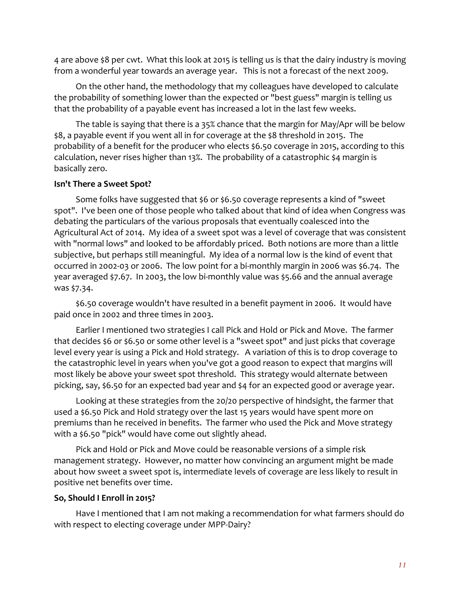4 are above \$8 per cwt. What this look at 2015 is telling us is that the dairy industry is moving from a wonderful year towards an average year. This is not a forecast of the next 2009.

On the other hand, the methodology that my colleagues have developed to calculate the probability of something lower than the expected or "best guess" margin is telling us that the probability of a payable event has increased a lot in the last few weeks.

The table is saying that there is a 35% chance that the margin for May/Apr will be below \$8, a payable event if you went all in for coverage at the \$8 threshold in 2015. The probability of a benefit for the producer who elects \$6.50 coverage in 2015, according to this calculation, never rises higher than 13%. The probability of a catastrophic \$4 margin is basically zero.

#### **Isn't There a Sweet Spot?**

Some folks have suggested that \$6 or \$6.50 coverage represents a kind of "sweet spot". I've been one of those people who talked about that kind of idea when Congress was debating the particulars of the various proposals that eventually coalesced into the Agricultural Act of 2014. My idea of a sweet spot was a level of coverage that was consistent with "normal lows" and looked to be affordably priced. Both notions are more than a little subjective, but perhaps still meaningful. My idea of a normal low is the kind of event that occurred in 2002-03 or 2006. The low point for a bi-monthly margin in 2006 was \$6.74. The year averaged \$7.67. In 2003, the low bi-monthly value was \$5.66 and the annual average was \$7.34.

\$6.50 coverage wouldn't have resulted in a benefit payment in 2006. It would have paid once in 2002 and three times in 2003.

Earlier I mentioned two strategies I call Pick and Hold or Pick and Move. The farmer that decides \$6 or \$6.50 or some other level is a "sweet spot" and just picks that coverage level every year is using a Pick and Hold strategy. A variation of this is to drop coverage to the catastrophic level in years when you've got a good reason to expect that margins will most likely be above your sweet spot threshold. This strategy would alternate between picking, say, \$6.50 for an expected bad year and \$4 for an expected good or average year.

Looking at these strategies from the 20/20 perspective of hindsight, the farmer that used a \$6.50 Pick and Hold strategy over the last 15 years would have spent more on premiums than he received in benefits. The farmer who used the Pick and Move strategy with a \$6.50 "pick" would have come out slightly ahead.

Pick and Hold or Pick and Move could be reasonable versions of a simple risk management strategy. However, no matter how convincing an argument might be made about how sweet a sweet spot is, intermediate levels of coverage are less likely to result in positive net benefits over time.

#### **So, Should I Enroll in 2015?**

Have I mentioned that I am not making a recommendation for what farmers should do with respect to electing coverage under MPP-Dairy?